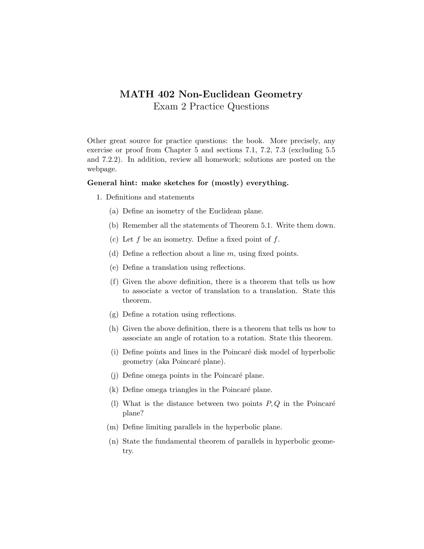## MATH 402 Non-Euclidean Geometry Exam 2 Practice Questions

Other great source for practice questions: the book. More precisely, any exercise or proof from Chapter 5 and sections 7.1, 7.2, 7.3 (excluding 5.5 and 7.2.2). In addition, review all homework; solutions are posted on the webpage.

## General hint: make sketches for (mostly) everything.

- 1. Definitions and statements
	- (a) Define an isometry of the Euclidean plane.
	- (b) Remember all the statements of Theorem 5.1. Write them down.
	- (c) Let  $f$  be an isometry. Define a fixed point of  $f$ .
	- (d) Define a reflection about a line  $m$ , using fixed points.
	- (e) Define a translation using reflections.
	- (f) Given the above definition, there is a theorem that tells us how to associate a vector of translation to a translation. State this theorem.
	- (g) Define a rotation using reflections.
	- (h) Given the above definition, there is a theorem that tells us how to associate an angle of rotation to a rotation. State this theorem.
	- (i) Define points and lines in the Poincaré disk model of hyperbolic geometry (aka Poincaré plane).
	- (j) Define omega points in the Poincaré plane.
	- $(k)$  Define omega triangles in the Poincaré plane.
	- (l) What is the distance between two points  $P, Q$  in the Poincaré plane?
	- (m) Define limiting parallels in the hyperbolic plane.
	- (n) State the fundamental theorem of parallels in hyperbolic geometry.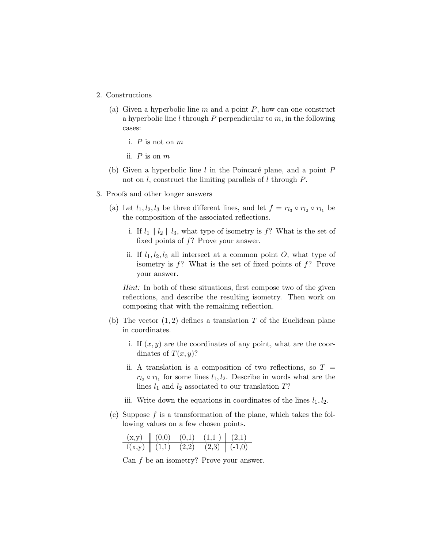- 2. Constructions
	- (a) Given a hyperbolic line  $m$  and a point  $P$ , how can one construct a hyperbolic line  $l$  through  $P$  perpendicular to  $m$ , in the following cases:
		- i. P is not on m
		- ii.  $P$  is on  $m$
	- (b) Given a hyperbolic line l in the Poincaré plane, and a point  $P$ not on  $l$ , construct the limiting parallels of  $l$  through  $P$ .
- 3. Proofs and other longer answers
	- (a) Let  $l_1, l_2, l_3$  be three different lines, and let  $f = r_{l_3} \circ r_{l_2} \circ r_{l_1}$  be the composition of the associated reflections.
		- i. If  $l_1 \parallel l_2 \parallel l_3$ , what type of isometry is f? What is the set of fixed points of  $f$ ? Prove your answer.
		- ii. If  $l_1, l_2, l_3$  all intersect at a common point O, what type of isometry is f? What is the set of fixed points of f? Prove your answer.

Hint: In both of these situations, first compose two of the given reflections, and describe the resulting isometry. Then work on composing that with the remaining reflection.

- (b) The vector  $(1, 2)$  defines a translation T of the Euclidean plane in coordinates.
	- i. If  $(x, y)$  are the coordinates of any point, what are the coordinates of  $T(x, y)$ ?
	- ii. A translation is a composition of two reflections, so  $T =$  $r_{l_2} \circ r_{l_1}$  for some lines  $l_1, l_2$ . Describe in words what are the lines  $l_1$  and  $l_2$  associated to our translation  $T$ ?
	- iii. Write down the equations in coordinates of the lines  $l_1, l_2$ .
- (c) Suppose  $f$  is a transformation of the plane, which takes the following values on a few chosen points.

|  | $(x,y)$ $(0,0)$ $(0,1)$ $(1,1)$ $(2,1)$                                   |  |
|--|---------------------------------------------------------------------------|--|
|  | $f(x,y) \parallel (1,1) \parallel (2,2) \parallel (2,3) \parallel (-1,0)$ |  |

Can f be an isometry? Prove your answer.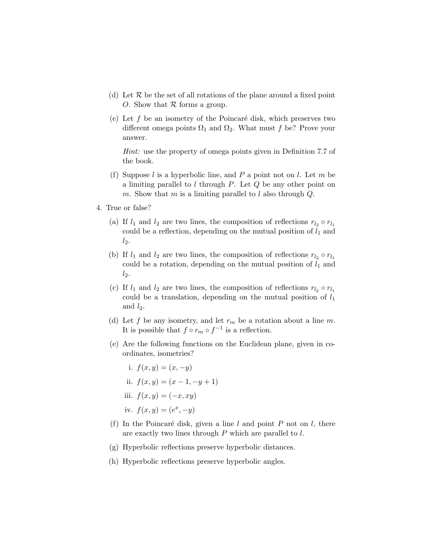- (d) Let  $R$  be the set of all rotations of the plane around a fixed point O. Show that  $R$  forms a group.
- (e) Let f be an isometry of the Poincaré disk, which preserves two different omega points  $\Omega_1$  and  $\Omega_2$ . What must f be? Prove your answer.

Hint: use the property of omega points given in Definition 7.7 of the book.

- (f) Suppose  $l$  is a hyperbolic line, and  $P$  a point not on  $l$ . Let  $m$  be a limiting parallel to  $l$  through  $P$ . Let  $Q$  be any other point on m. Show that m is a limiting parallel to l also through  $Q$ .
- 4. True or false?
	- (a) If  $l_1$  and  $l_2$  are two lines, the composition of reflections  $r_{l_2} \circ r_{l_1}$ could be a reflection, depending on the mutual position of  $l_1$  and  $l_2$ .
	- (b) If  $l_1$  and  $l_2$  are two lines, the composition of reflections  $r_{l_2} \circ r_{l_1}$ could be a rotation, depending on the mutual position of  $l_1$  and  $l_2$ .
	- (c) If  $l_1$  and  $l_2$  are two lines, the composition of reflections  $r_{l_2} \circ r_{l_1}$ could be a translation, depending on the mutual position of  $l_1$ and  $l_2$ .
	- (d) Let f be any isometry, and let  $r_m$  be a rotation about a line m. It is possible that  $f \circ r_m \circ f^{-1}$  is a reflection.
	- (e) Are the following functions on the Euclidean plane, given in coordinates, isometries?
		- i.  $f(x, y) = (x, -y)$ ii.  $f(x, y) = (x - 1, -y + 1)$ iii.  $f(x, y) = (-x, xy)$ iv.  $f(x, y) = (e^x, -y)$
	- (f) In the Poincaré disk, given a line l and point P not on l, there are exactly two lines through P which are parallel to l.
	- (g) Hyperbolic reflections preserve hyperbolic distances.
	- (h) Hyperbolic reflections preserve hyperbolic angles.